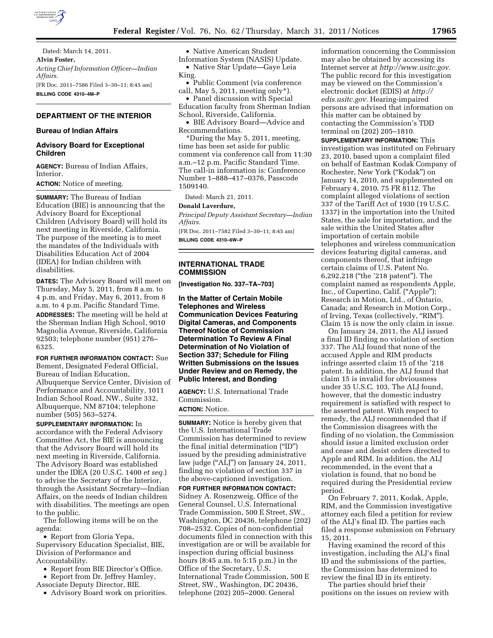

Dated: March 14, 2011. **Alvin Foster,**  *Acting Chief Information Officer—Indian Affairs.*  [FR Doc. 2011–7586 Filed 3–30–11; 8:45 am] **BILLING CODE 4310–4M–P** 

## **DEPARTMENT OF THE INTERIOR**

### **Bureau of Indian Affairs**

## **Advisory Board for Exceptional Children**

**AGENCY:** Bureau of Indian Affairs, Interior.

**ACTION:** Notice of meeting.

**SUMMARY:** The Bureau of Indian Education (BIE) is announcing that the Advisory Board for Exceptional Children (Advisory Board) will hold its next meeting in Riverside, California. The purpose of the meeting is to meet the mandates of the Individuals with Disabilities Education Act of 2004 (IDEA) for Indian children with disabilities.

**DATES:** The Advisory Board will meet on Thursday, May 5, 2011, from 8 a.m. to 4 p.m. and Friday, May 6, 2011, from 8 a.m. to 4 p.m. Pacific Standard Time.

**ADDRESSES:** The meeting will be held at the Sherman Indian High School, 9010 Magnolia Avenue, Riverside, California 92503; telephone number (951) 276– 6325.

**FOR FURTHER INFORMATION CONTACT:** Sue Bement, Designated Federal Official, Bureau of Indian Education, Albuquerque Service Center, Division of Performance and Accountability, 1011 Indian School Road, NW., Suite 332, Albuquerque, NM 87104; telephone number (505) 563–5274.

**SUPPLEMENTARY INFORMATION:** In accordance with the Federal Advisory Committee Act, the BIE is announcing that the Advisory Board will hold its next meeting in Riverside, California. The Advisory Board was established under the IDEA (20 U.S.C. 1400 *et seq.*) to advise the Secretary of the Interior, through the Assistant Secretary—Indian Affairs, on the needs of Indian children with disabilities. The meetings are open to the public.

The following items will be on the agenda:

• Report from Gloria Yepa, Supervisory Education Specialist, BIE, Division of Performance and Accountability.

• Report from BIE Director's Office.

- Report from Dr. Jeffrey Hamley,
- Associate Deputy Director, BIE.
- Advisory Board work on priorities.

• Native American Student Information System (NASIS) Update. • Native Star Update—Gaye Leia King.

• Public Comment (via conference call, May 5, 2011, meeting only\*).

• Panel discussion with Special Education faculty from Sherman Indian School, Riverside, California.

• BIE Advisory Board—Advice and Recommendations.

\*During the May 5, 2011, meeting, time has been set aside for public comment via conference call from 11:30 a.m.–12 p.m. Pacific Standard Time. The call-in information is: Conference Number 1–888–417–0376, Passcode 1509140.

Dated: March 21, 2011.

### **Donald Laverdure,**

*Principal Deputy Assistant Secretary—Indian Affairs.* 

[FR Doc. 2011–7582 Filed 3–30–11; 8:45 am] **BILLING CODE 4310–6W–P** 

## **INTERNATIONAL TRADE COMMISSION**

**[Investigation No. 337–TA–703]** 

**In the Matter of Certain Mobile Telephones and Wireless Communication Devices Featuring Digital Cameras, and Components Thereof Notice of Commission Determination To Review A Final Determination of No Violation of Section 337; Schedule for Filing Written Submissions on the Issues Under Review and on Remedy, the Public Interest, and Bonding** 

**AGENCY:** U.S. International Trade Commission. **ACTION:** Notice.

**SUMMARY:** Notice is hereby given that the U.S. International Trade Commission has determined to review the final initial determination (''ID'') issued by the presiding administrative law judge ("ALJ") on January 24, 2011, finding no violation of section 337 in the above-captioned investigation. **FOR FURTHER INFORMATION CONTACT:**  Sidney A. Rosenzweig, Office of the General Counsel, U.S. International Trade Commission, 500 E Street, SW.,

Washington, DC 20436, telephone (202) 708–2532. Copies of non-confidential documents filed in connection with this investigation are or will be available for inspection during official business hours (8:45 a.m. to 5:15 p.m.) in the Office of the Secretary, U.S. International Trade Commission, 500 E Street, SW., Washington, DC 20436, telephone (202) 205–2000. General

information concerning the Commission may also be obtained by accessing its Internet server at *[http://www.usitc.gov.](http://www.usitc.gov)*  The public record for this investigation may be viewed on the Commission's electronic docket (EDIS) at *[http://](http://edis.usitc.gov)  [edis.usitc.gov.](http://edis.usitc.gov)* Hearing-impaired persons are advised that information on this matter can be obtained by contacting the Commission's TDD terminal on (202) 205–1810.

**SUPPLEMENTARY INFORMATION:** This investigation was instituted on February 23, 2010, based upon a complaint filed on behalf of Eastman Kodak Company of Rochester, New York (''Kodak'') on January 14, 2010, and supplemented on February 4, 2010. 75 FR 8112. The complaint alleged violations of section 337 of the Tariff Act of 1930 (19 U.S.C. 1337) in the importation into the United States, the sale for importation, and the sale within the United States after importation of certain mobile telephones and wireless communication devices featuring digital cameras, and components thereof, that infringe certain claims of U.S. Patent No. 6,292,218 (''the '218 patent''). The complaint named as respondents Apple, Inc., of Cupertino, Calif. (''Apple''); Research in Motion, Ltd., of Ontario, Canada; and Research in Motion Corp., of Irving, Texas (collectively, ''RIM''). Claim 15 is now the only claim in issue.

On January 24, 2011, the ALJ issued a final ID finding no violation of section 337. The ALJ found that none of the accused Apple and RIM products infringe asserted claim 15 of the '218 patent. In addition, the ALJ found that claim 15 is invalid for obviousness under 35 U.S.C. 103. The ALJ found, however, that the domestic industry requirement is satisfied with respect to the asserted patent. With respect to remedy, the ALJ recommended that if the Commission disagrees with the finding of no violation, the Commission should issue a limited exclusion order and cease and desist orders directed to Apple and RIM. In addition, the ALJ recommended, in the event that a violation is found, that no bond be required during the Presidential review period.

On February 7, 2011, Kodak, Apple, RIM, and the Commission investigative attorney each filed a petition for review of the ALJ's final ID. The parties each filed a response submission on February 15, 2011.

Having examined the record of this investigation, including the ALJ's final ID and the submissions of the parties, the Commission has determined to review the final ID in its entirety.

The parties should brief their positions on the issues on review with